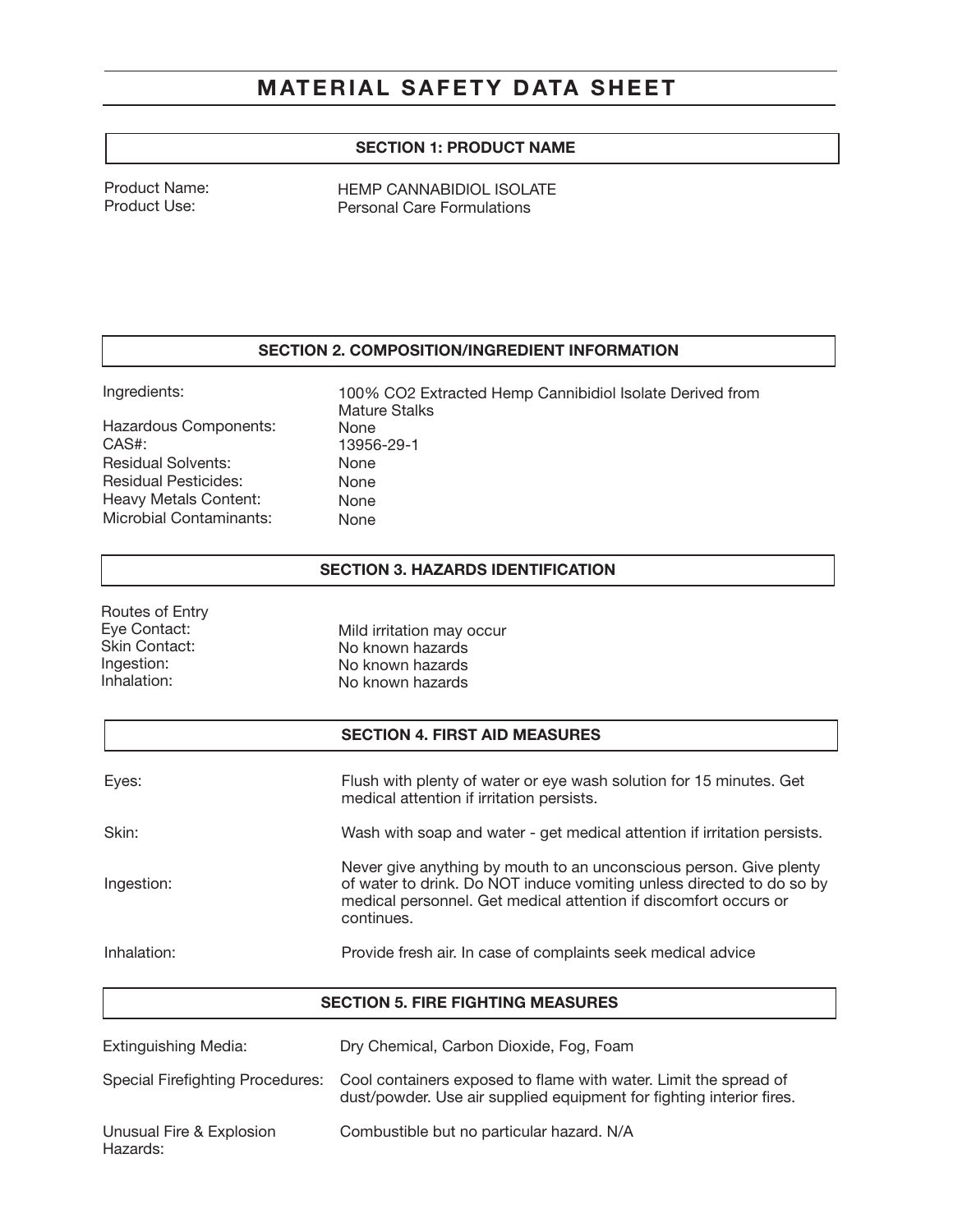# MATERIAL SAFETY DATA SHEET

## SECTION 1: PRODUCT NAME

Product Name: Product Use:

HEMP CANNABIDIOL ISOLATE Personal Care Formulations

#### SECTION 2. COMPOSITION/INGREDIENT INFORMATION

Ingredients:

Routes of Entry

Hazardous Components: CAS#: Residual Solvents: Residual Pesticides: Heavy Metals Content: Microbial Contaminants:

100% CO2 Extracted Hemp Cannibidiol Isolate Derived from Mature Stalks None 13956-29-1 None None None None

#### SECTION 3. HAZARDS IDENTIFICATION

| Eye Contact:<br><b>Skin Contact:</b><br>Ingestion:<br>Inhalation: | Mild irritation may occur<br>No known hazards<br>No known hazards<br>No known hazards                                                                                                                                         |
|-------------------------------------------------------------------|-------------------------------------------------------------------------------------------------------------------------------------------------------------------------------------------------------------------------------|
|                                                                   | <b>SECTION 4. FIRST AID MEASURES</b>                                                                                                                                                                                          |
| Eyes:                                                             | Flush with plenty of water or eye wash solution for 15 minutes. Get<br>medical attention if irritation persists.                                                                                                              |
| Skin:                                                             | Wash with soap and water - get medical attention if irritation persists.                                                                                                                                                      |
| Ingestion:                                                        | Never give anything by mouth to an unconscious person. Give plenty<br>of water to drink. Do NOT induce vomiting unless directed to do so by<br>medical personnel. Get medical attention if discomfort occurs or<br>continues. |
| Inhalation:                                                       | Provide fresh air. In case of complaints seek medical advice                                                                                                                                                                  |

| Extinguishing Media:                 | Dry Chemical, Carbon Dioxide, Fog, Foam                                                                                                  |
|--------------------------------------|------------------------------------------------------------------------------------------------------------------------------------------|
| Special Firefighting Procedures:     | Cool containers exposed to flame with water. Limit the spread of<br>dust/powder. Use air supplied equipment for fighting interior fires. |
| Unusual Fire & Explosion<br>Hazards: | Combustible but no particular hazard. N/A                                                                                                |

SECTION 5. FIRE FIGHTING MEASURES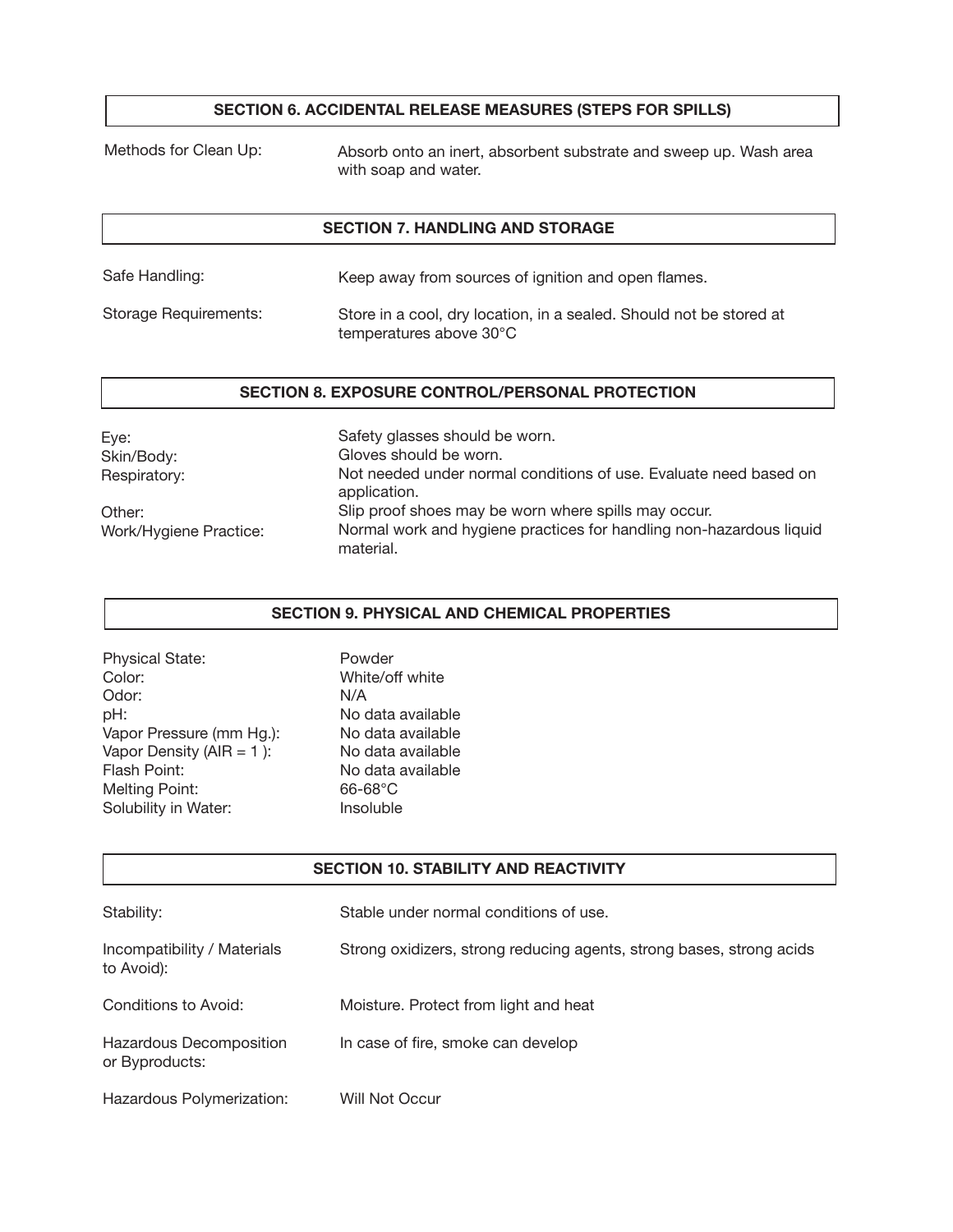## SECTION 6. ACCIDENTAL RELEASE MEASURES (STEPS FOR SPILLS)

Methods for Clean Up:

Absorb onto an inert, absorbent substrate and sweep up. Wash area with soap and water.

### SECTION 7. HANDLING AND STORAGE

| Safe Handling:        | Keep away from sources of ignition and open flames.                                            |
|-----------------------|------------------------------------------------------------------------------------------------|
| Storage Requirements: | Store in a cool, dry location, in a sealed. Should not be stored at<br>temperatures above 30°C |

#### SECTION 8. EXPOSURE CONTROL/PERSONAL PROTECTION

| Eye:                             | Safety glasses should be worn.                                                                                                           |
|----------------------------------|------------------------------------------------------------------------------------------------------------------------------------------|
| Skin/Body:                       | Gloves should be worn.                                                                                                                   |
| Respiratory:                     | Not needed under normal conditions of use. Evaluate need based on<br>application.                                                        |
| Other:<br>Work/Hygiene Practice: | Slip proof shoes may be worn where spills may occur.<br>Normal work and hygiene practices for handling non-hazardous liquid<br>material. |

## SECTION 9. PHYSICAL AND CHEMICAL PROPERTIES

| <b>Physical State:</b>   | Powder            |
|--------------------------|-------------------|
| Color:                   | White/off white   |
| Odor:                    | N/A               |
| pH:                      | No data available |
| Vapor Pressure (mm Hg.): | No data available |
| Vapor Density (AIR = 1): | No data available |
| Flash Point:             | No data available |
| <b>Melting Point:</b>    | $66-68^{\circ}$ C |
| Solubility in Water:     | Insoluble         |

## SECTION 10. STABILITY AND REACTIVITY

| Stability:                                | Stable under normal conditions of use.                               |
|-------------------------------------------|----------------------------------------------------------------------|
| Incompatibility / Materials<br>to Avoid): | Strong oxidizers, strong reducing agents, strong bases, strong acids |
| Conditions to Avoid:                      | Moisture. Protect from light and heat                                |
| Hazardous Decomposition<br>or Byproducts: | In case of fire, smoke can develop                                   |
| Hazardous Polymerization:                 | Will Not Occur                                                       |